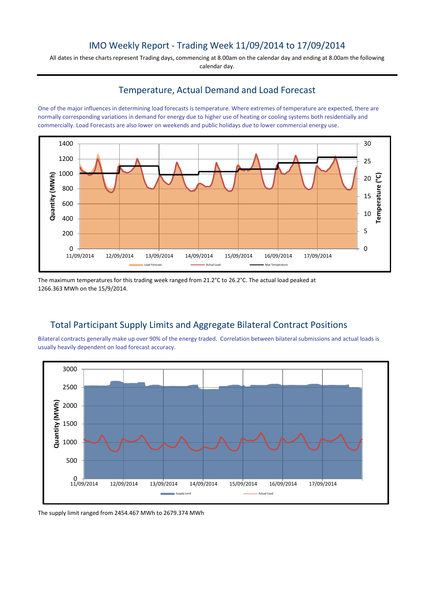## IMO Weekly Report - Trading Week 11/09/2014 to 17/09/2014

All dates in these charts represent Trading days, commencing at 8.00am on the calendar day and ending at 8.00am the following calendar day.

#### Temperature, Actual Demand and Load Forecast

One of the major influences in determining load forecasts is temperature. Where extremes of temperature are expected, there are normally corresponding variations in demand for energy due to higher use of heating or cooling systems both residentially and commercially. Load Forecasts are also lower on weekends and public holidays due to lower commercial energy use.



The maximum temperatures for this trading week ranged from 21.2°C to 26.2°C. The actual load peaked at 1266.363 MWh on the 15/9/2014.

# Total Participant Supply Limits and Aggregate Bilateral Contract Positions

Bilateral contracts generally make up over 90% of the energy traded. Correlation between bilateral submissions and actual loads is usually heavily dependent on load forecast accuracy.



The supply limit ranged from 2454.467 MWh to 2679.374 MWh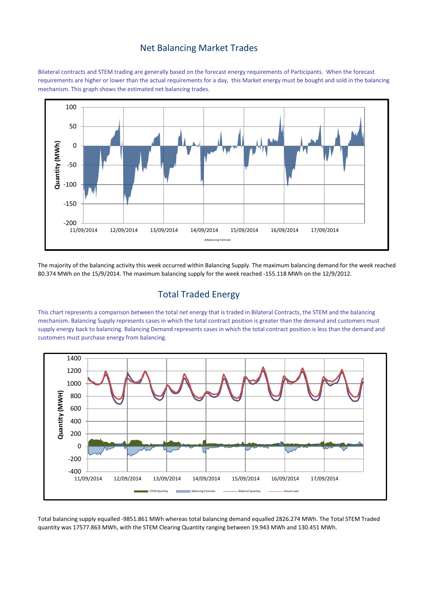#### Net Balancing Market Trades

Bilateral contracts and STEM trading are generally based on the forecast energy requirements of Participants. When the forecast requirements are higher or lower than the actual requirements for a day, this Market energy must be bought and sold in the balancing mechanism. This graph shows the estimated net balancing trades.



The majority of the balancing activity this week occurred within Balancing Supply. The maximum balancing demand for the week reached 80.374 MWh on the 15/9/2014. The maximum balancing supply for the week reached -155.118 MWh on the 12/9/2012.

# Total Traded Energy

This chart represents a comparison between the total net energy that is traded in Bilateral Contracts, the STEM and the balancing mechanism. Balancing Supply represents cases in which the total contract position is greater than the demand and customers must supply energy back to balancing. Balancing Demand represents cases in which the total contract position is less than the demand and customers must purchase energy from balancing.



Total balancing supply equalled -9851.861 MWh whereas total balancing demand equalled 2826.274 MWh. The Total STEM Traded quantity was 17577.863 MWh, with the STEM Clearing Quantity ranging between 19.943 MWh and 130.451 MWh.